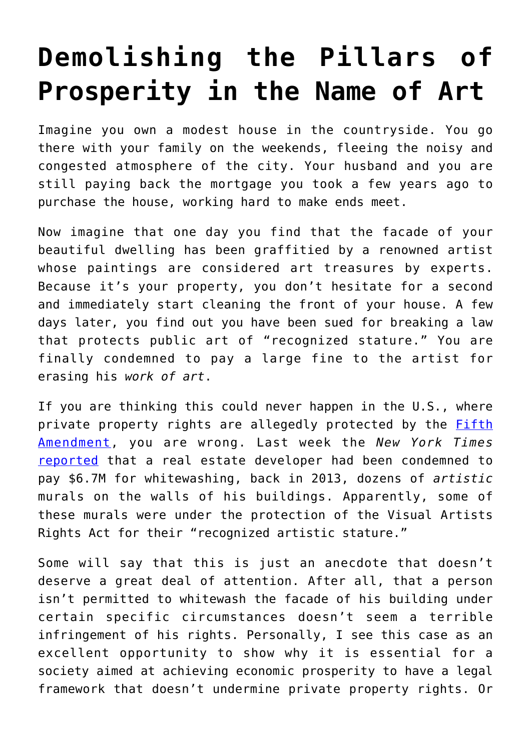## **[Demolishing the Pillars of](https://intellectualtakeout.org/2018/02/demolishing-the-pillars-of-prosperity-in-the-name-of-art/) [Prosperity in the Name of Art](https://intellectualtakeout.org/2018/02/demolishing-the-pillars-of-prosperity-in-the-name-of-art/)**

Imagine you own a modest house in the countryside. You go there with your family on the weekends, fleeing the noisy and congested atmosphere of the city. Your husband and you are still paying back the mortgage you took a few years ago to purchase the house, working hard to make ends meet.

Now imagine that one day you find that the facade of your beautiful dwelling has been graffitied by a renowned artist whose paintings are considered art treasures by experts. Because it's your property, you don't hesitate for a second and immediately start cleaning the front of your house. A few days later, you find out you have been sued for breaking a law that protects public art of "recognized stature." You are finally condemned to pay a large fine to the artist for erasing his *work of art*.

If you are thinking this could never happen in the U.S., where private property rights are allegedly protected by the **[Fifth](https://www.nytimes.com/2018/02/12/nyregion/5pointz-graffiti-judgment.html)** [Amendment](https://www.nytimes.com/2018/02/12/nyregion/5pointz-graffiti-judgment.html), you are wrong. Last week the *New York Times* [reported](https://www.nytimes.com/2018/02/12/nyregion/5pointz-graffiti-judgment.html) that a real estate developer had been condemned to pay \$6.7M for whitewashing, back in 2013, dozens of *artistic* murals on the walls of his buildings. Apparently, some of these murals were under the protection of the Visual Artists Rights Act for their "recognized artistic stature."

Some will say that this is just an anecdote that doesn't deserve a great deal of attention. After all, that a person isn't permitted to whitewash the facade of his building under certain specific circumstances doesn't seem a terrible infringement of his rights. Personally, I see this case as an excellent opportunity to show why it is essential for a society aimed at achieving economic prosperity to have a legal framework that doesn't undermine private property rights. Or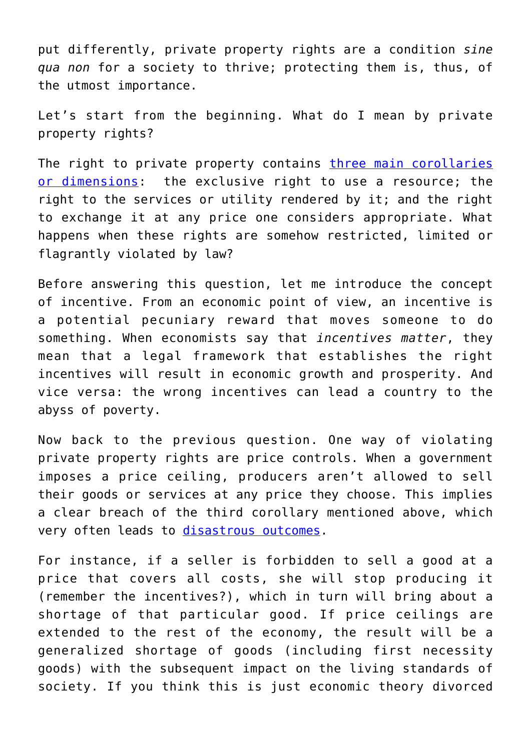put differently, private property rights are a condition *sine qua non* for a society to thrive; protecting them is, thus, of the utmost importance.

Let's start from the beginning. What do I mean by private property rights?

The right to private property contains [three main corollaries](http://www.econlib.org/library/Enc/PropertyRights.html) [or dimensions:](http://www.econlib.org/library/Enc/PropertyRights.html) the exclusive right to use a resource; the right to the services or utility rendered by it; and the right to exchange it at any price one considers appropriate. What happens when these rights are somehow restricted, limited or flagrantly violated by law?

Before answering this question, let me introduce the concept of incentive. From an economic point of view, an incentive is a potential pecuniary reward that moves someone to do something. When economists say that *incentives matter*, they mean that a legal framework that establishes the right incentives will result in economic growth and prosperity. And vice versa: the wrong incentives can lead a country to the abyss of poverty.

Now back to the previous question. One way of violating private property rights are price controls. When a government imposes a price ceiling, producers aren't allowed to sell their goods or services at any price they choose. This implies a clear breach of the third corollary mentioned above, which very often leads to [disastrous outcomes](https://www.forbes.com/sites/timworstall/2016/06/12/silicon-valley-decides-to-bomb-its-own-housing-market-with-rent-control/#55663b1e7bed).

For instance, if a seller is forbidden to sell a good at a price that covers all costs, she will stop producing it (remember the incentives?), which in turn will bring about a shortage of that particular good. If price ceilings are extended to the rest of the economy, the result will be a generalized shortage of goods (including first necessity goods) with the subsequent impact on the living standards of society. If you think this is just economic theory divorced